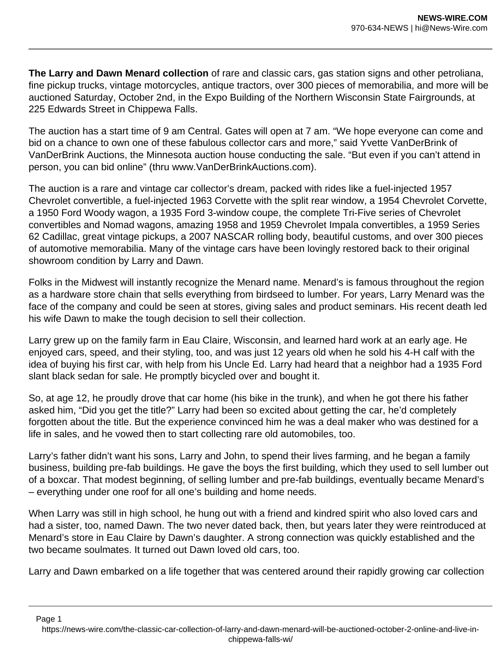**The Larry and Dawn Menard collection** of rare and classic cars, gas station signs and other petroliana, fine pickup trucks, vintage motorcycles, antique tractors, over 300 pieces of memorabilia, and more will be auctioned Saturday, October 2nd, in the Expo Building of the Northern Wisconsin State Fairgrounds, at 225 Edwards Street in Chippewa Falls.

The auction has a start time of 9 am Central. Gates will open at 7 am. "We hope everyone can come and bid on a chance to own one of these fabulous collector cars and more," said Yvette VanDerBrink of VanDerBrink Auctions, the Minnesota auction house conducting the sale. "But even if you can't attend in person, you can bid online" (thru www.VanDerBrinkAuctions.com).

The auction is a rare and vintage car collector's dream, packed with rides like a fuel-injected 1957 Chevrolet convertible, a fuel-injected 1963 Corvette with the split rear window, a 1954 Chevrolet Corvette, a 1950 Ford Woody wagon, a 1935 Ford 3-window coupe, the complete Tri-Five series of Chevrolet convertibles and Nomad wagons, amazing 1958 and 1959 Chevrolet Impala convertibles, a 1959 Series 62 Cadillac, great vintage pickups, a 2007 NASCAR rolling body, beautiful customs, and over 300 pieces of automotive memorabilia. Many of the vintage cars have been lovingly restored back to their original showroom condition by Larry and Dawn.

Folks in the Midwest will instantly recognize the Menard name. Menard's is famous throughout the region as a hardware store chain that sells everything from birdseed to lumber. For years, Larry Menard was the face of the company and could be seen at stores, giving sales and product seminars. His recent death led his wife Dawn to make the tough decision to sell their collection.

Larry grew up on the family farm in Eau Claire, Wisconsin, and learned hard work at an early age. He enjoyed cars, speed, and their styling, too, and was just 12 years old when he sold his 4-H calf with the idea of buying his first car, with help from his Uncle Ed. Larry had heard that a neighbor had a 1935 Ford slant black sedan for sale. He promptly bicycled over and bought it.

So, at age 12, he proudly drove that car home (his bike in the trunk), and when he got there his father asked him, "Did you get the title?" Larry had been so excited about getting the car, he'd completely forgotten about the title. But the experience convinced him he was a deal maker who was destined for a life in sales, and he vowed then to start collecting rare old automobiles, too.

Larry's father didn't want his sons, Larry and John, to spend their lives farming, and he began a family business, building pre-fab buildings. He gave the boys the first building, which they used to sell lumber out of a boxcar. That modest beginning, of selling lumber and pre-fab buildings, eventually became Menard's – everything under one roof for all one's building and home needs.

When Larry was still in high school, he hung out with a friend and kindred spirit who also loved cars and had a sister, too, named Dawn. The two never dated back, then, but years later they were reintroduced at Menard's store in Eau Claire by Dawn's daughter. A strong connection was quickly established and the two became soulmates. It turned out Dawn loved old cars, too.

Larry and Dawn embarked on a life together that was centered around their rapidly growing car collection

Page 1 https://news-wire.com/the-classic-car-collection-of-larry-and-dawn-menard-will-be-auctioned-october-2-online-and-live-inchippewa-falls-wi/